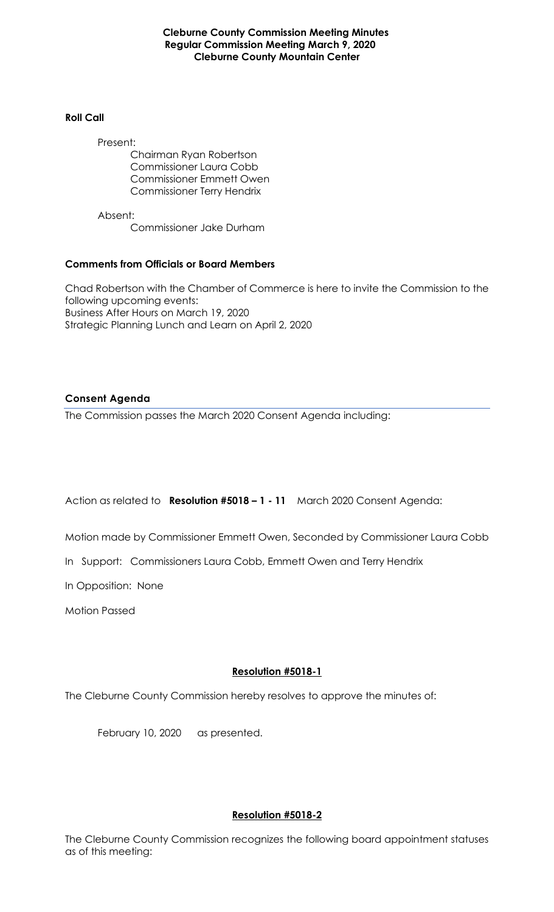**Cleburne County Commission Meeting Minutes Regular Commission Meeting March 9, 2020 Cleburne County Mountain Center**

#### **Roll Call**

Present: Chairman Ryan Robertson Commissioner Laura Cobb Commissioner Emmett Owen Commissioner Terry Hendrix

Absent: Commissioner Jake Durham

## **Comments from Officials or Board Members**

Chad Robertson with the Chamber of Commerce is here to invite the Commission to the following upcoming events: Business After Hours on March 19, 2020 Strategic Planning Lunch and Learn on April 2, 2020

## **Consent Agenda**

The Commission passes the March 2020 Consent Agenda including:

Action as related to **Resolution #5018 – 1 - 11** March 2020 Consent Agenda:

Motion made by Commissioner Emmett Owen, Seconded by Commissioner Laura Cobb

In Support: Commissioners Laura Cobb, Emmett Owen and Terry Hendrix

In Opposition: None

Motion Passed

# **Resolution #5018-1**

The Cleburne County Commission hereby resolves to approve the minutes of:

February 10, 2020 as presented.

# **Resolution #5018-2**

The Cleburne County Commission recognizes the following board appointment statuses as of this meeting: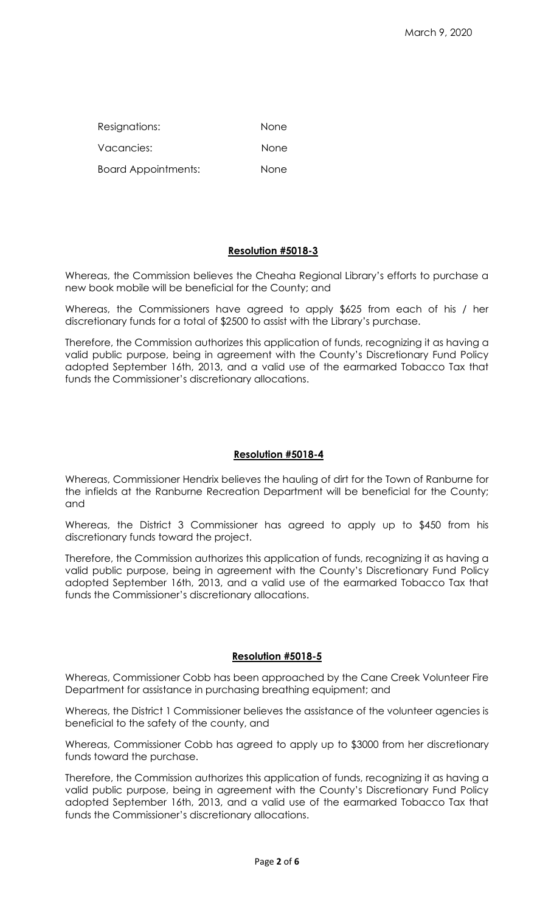| Resignations:              | None |
|----------------------------|------|
| Vacancies:                 | None |
| <b>Board Appointments:</b> | None |

### **Resolution #5018-3**

Whereas, the Commission believes the Cheaha Regional Library's efforts to purchase a new book mobile will be beneficial for the County; and

Whereas, the Commissioners have agreed to apply \$625 from each of his / her discretionary funds for a total of \$2500 to assist with the Library's purchase.

Therefore, the Commission authorizes this application of funds, recognizing it as having a valid public purpose, being in agreement with the County's Discretionary Fund Policy adopted September 16th, 2013, and a valid use of the earmarked Tobacco Tax that funds the Commissioner's discretionary allocations.

### **Resolution #5018-4**

Whereas, Commissioner Hendrix believes the hauling of dirt for the Town of Ranburne for the infields at the Ranburne Recreation Department will be beneficial for the County; and

Whereas, the District 3 Commissioner has agreed to apply up to \$450 from his discretionary funds toward the project.

Therefore, the Commission authorizes this application of funds, recognizing it as having a valid public purpose, being in agreement with the County's Discretionary Fund Policy adopted September 16th, 2013, and a valid use of the earmarked Tobacco Tax that funds the Commissioner's discretionary allocations.

### **Resolution #5018-5**

Whereas, Commissioner Cobb has been approached by the Cane Creek Volunteer Fire Department for assistance in purchasing breathing equipment; and

Whereas, the District 1 Commissioner believes the assistance of the volunteer agencies is beneficial to the safety of the county, and

Whereas, Commissioner Cobb has agreed to apply up to \$3000 from her discretionary funds toward the purchase.

Therefore, the Commission authorizes this application of funds, recognizing it as having a valid public purpose, being in agreement with the County's Discretionary Fund Policy adopted September 16th, 2013, and a valid use of the earmarked Tobacco Tax that funds the Commissioner's discretionary allocations.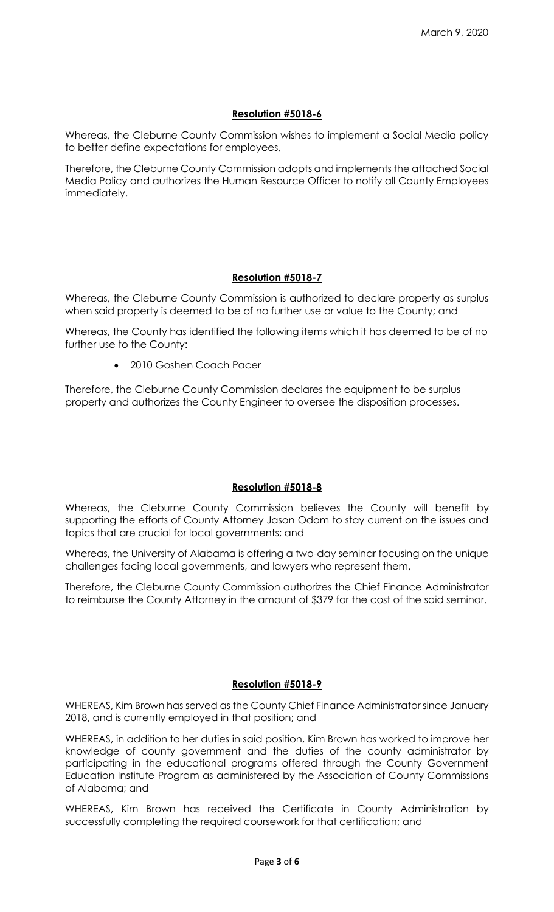### **Resolution #5018-6**

Whereas, the Cleburne County Commission wishes to implement a Social Media policy to better define expectations for employees,

Therefore, the Cleburne County Commission adopts and implements the attached Social Media Policy and authorizes the Human Resource Officer to notify all County Employees immediately.

## **Resolution #5018-7**

Whereas, the Cleburne County Commission is authorized to declare property as surplus when said property is deemed to be of no further use or value to the County; and

Whereas, the County has identified the following items which it has deemed to be of no further use to the County:

• 2010 Goshen Coach Pacer

Therefore, the Cleburne County Commission declares the equipment to be surplus property and authorizes the County Engineer to oversee the disposition processes.

#### **Resolution #5018-8**

Whereas, the Cleburne County Commission believes the County will benefit by supporting the efforts of County Attorney Jason Odom to stay current on the issues and topics that are crucial for local governments; and

Whereas, the University of Alabama is offering a two-day seminar focusing on the unique challenges facing local governments, and lawyers who represent them,

Therefore, the Cleburne County Commission authorizes the Chief Finance Administrator to reimburse the County Attorney in the amount of \$379 for the cost of the said seminar.

#### **Resolution #5018-9**

WHEREAS, Kim Brown has served as the County Chief Finance Administrator since January 2018, and is currently employed in that position; and

WHEREAS, in addition to her duties in said position, Kim Brown has worked to improve her knowledge of county government and the duties of the county administrator by participating in the educational programs offered through the County Government Education Institute Program as administered by the Association of County Commissions of Alabama; and

WHEREAS, Kim Brown has received the Certificate in County Administration by successfully completing the required coursework for that certification; and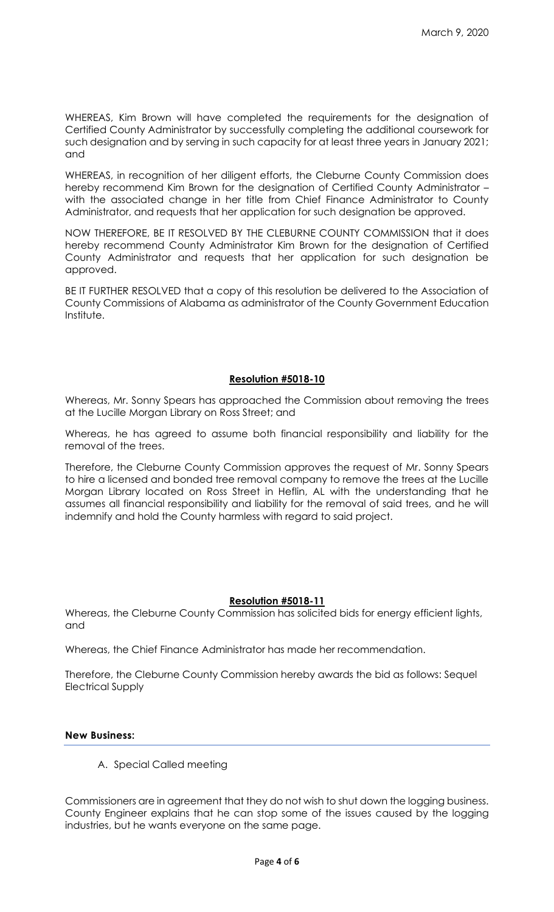WHEREAS, Kim Brown will have completed the requirements for the designation of Certified County Administrator by successfully completing the additional coursework for such designation and by serving in such capacity for at least three years in January 2021; and

WHEREAS, in recognition of her diligent efforts, the Cleburne County Commission does hereby recommend Kim Brown for the designation of Certified County Administrator – with the associated change in her title from Chief Finance Administrator to County Administrator, and requests that her application for such designation be approved.

NOW THEREFORE, BE IT RESOLVED BY THE CLEBURNE COUNTY COMMISSION that it does hereby recommend County Administrator Kim Brown for the designation of Certified County Administrator and requests that her application for such designation be approved.

BE IT FURTHER RESOLVED that a copy of this resolution be delivered to the Association of County Commissions of Alabama as administrator of the County Government Education Institute.

## **Resolution #5018-10**

Whereas, Mr. Sonny Spears has approached the Commission about removing the trees at the Lucille Morgan Library on Ross Street; and

Whereas, he has agreed to assume both financial responsibility and liability for the removal of the trees.

Therefore, the Cleburne County Commission approves the request of Mr. Sonny Spears to hire a licensed and bonded tree removal company to remove the trees at the Lucille Morgan Library located on Ross Street in Heflin, AL with the understanding that he assumes all financial responsibility and liability for the removal of said trees, and he will indemnify and hold the County harmless with regard to said project.

#### **Resolution #5018-11**

Whereas, the Cleburne County Commission has solicited bids for energy efficient lights, and

Whereas, the Chief Finance Administrator has made her recommendation.

Therefore, the Cleburne County Commission hereby awards the bid as follows: Sequel Electrical Supply

#### **New Business:**

A. Special Called meeting

Commissioners are in agreement that they do not wish to shut down the logging business. County Engineer explains that he can stop some of the issues caused by the logging industries, but he wants everyone on the same page.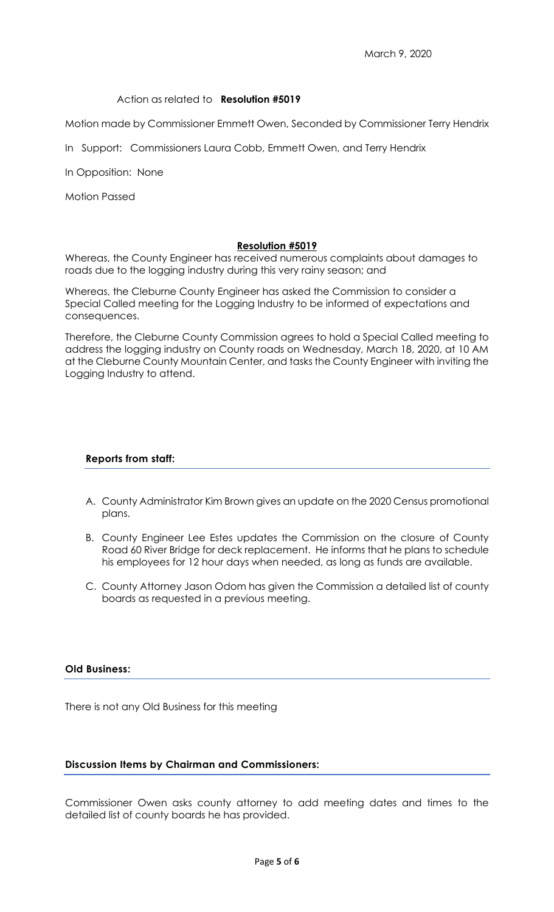## Action as related to **Resolution #5019**

Motion made by Commissioner Emmett Owen, Seconded by Commissioner Terry Hendrix

In Support: Commissioners Laura Cobb, Emmett Owen, and Terry Hendrix

In Opposition: None

Motion Passed

#### **Resolution #5019**

Whereas, the County Engineer has received numerous complaints about damages to roads due to the logging industry during this very rainy season; and

Whereas, the Cleburne County Engineer has asked the Commission to consider a Special Called meeting for the Logging Industry to be informed of expectations and consequences.

Therefore, the Cleburne County Commission agrees to hold a Special Called meeting to address the logging industry on County roads on Wednesday, March 18, 2020, at 10 AM at the Cleburne County Mountain Center, and tasks the County Engineer with inviting the Logging Industry to attend.

#### **Reports from staff:**

- A. County Administrator Kim Brown gives an update on the 2020 Census promotional plans.
- B. County Engineer Lee Estes updates the Commission on the closure of County Road 60 River Bridge for deck replacement. He informs that he plans to schedule his employees for 12 hour days when needed, as long as funds are available.
- C. County Attorney Jason Odom has given the Commission a detailed list of county boards as requested in a previous meeting.

#### **Old Business:**

There is not any Old Business for this meeting

# **Discussion Items by Chairman and Commissioners:**

Commissioner Owen asks county attorney to add meeting dates and times to the detailed list of county boards he has provided.